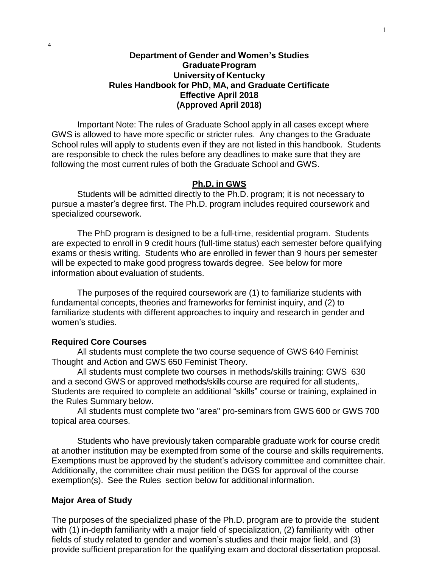### **Department of Gender and Women's Studies GraduateProgram Universityof Kentucky Rules Handbook for PhD, MA, and Graduate Certificate Effective April 2018 (Approved April 2018)**

Important Note: The rules of Graduate School apply in all cases except where GWS is allowed to have more specific or stricter rules. Any changes to the Graduate School rules will apply to students even if they are not listed in this handbook. Students are responsible to check the rules before any deadlines to make sure that they are following the most current rules of both the Graduate School and GWS.

#### **Ph.D. in GWS**

Students will be admitted directly to the Ph.D. program; it is not necessary to pursue a master's degree first. The Ph.D. program includes required coursework and specialized coursework.

The PhD program is designed to be a full-time, residential program. Students are expected to enroll in 9 credit hours (full-time status) each semester before qualifying exams or thesis writing. Students who are enrolled in fewer than 9 hours per semester will be expected to make good progress towards degree. See below for more information about evaluation of students.

The purposes of the required coursework are (1) to familiarize students with fundamental concepts, theories and frameworks for feminist inquiry, and (2) to familiarize students with different approaches to inquiry and research in gender and women's studies.

#### **Required Core Courses**

All students must complete the two course sequence of GWS 640 Feminist Thought and Action and GWS 650 Feminist Theory.

All students must complete two courses in methods/skills training: GWS 630 and a second GWS or approved methods/skills course are required for all students,. Students are required to complete an additional "skills" course or training, explained in the Rules Summary below.

All students must complete two "area" pro-seminars from GWS 600 or GWS 700 topical area courses.

Students who have previously taken comparable graduate work for course credit at another institution may be exempted from some of the course and skills requirements. Exemptions must be approved by the student's advisory committee and committee chair. Additionally, the committee chair must petition the DGS for approval of the course exemption(s). See the Rules section below for additional information.

#### **Major Area of Study**

The purposes of the specialized phase of the Ph.D. program are to provide the student with (1) in-depth familiarity with a major field of specialization, (2) familiarity with other fields of study related to gender and women's studies and their major field, and (3) provide sufficient preparation for the qualifying exam and doctoral dissertation proposal.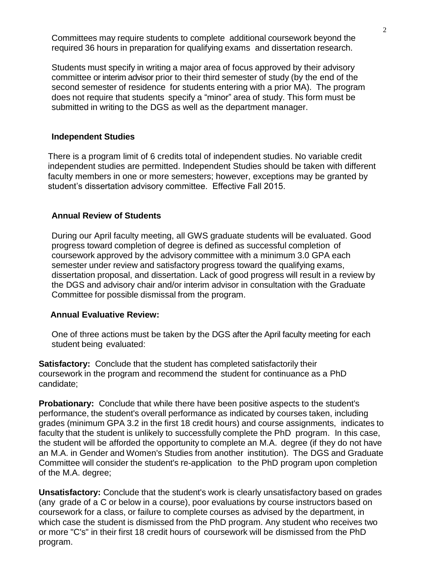Committees may require students to complete additional coursework beyond the required 36 hours in preparation for qualifying exams and dissertation research.

Students must specify in writing a major area of focus approved by their advisory committee or interim advisor prior to their third semester of study (by the end of the second semester of residence for students entering with a prior MA). The program does not require that students specify a "minor" area of study. This form must be submitted in writing to the DGS as well as the department manager.

### **Independent Studies**

There is a program limit of 6 credits total of independent studies. No variable credit independent studies are permitted. Independent Studies should be taken with different faculty members in one or more semesters; however, exceptions may be granted by student's dissertation advisory committee. Effective Fall 2015.

### **Annual Review of Students**

During our April faculty meeting, all GWS graduate students will be evaluated. Good progress toward completion of degree is defined as successful completion of coursework approved by the advisory committee with a minimum 3.0 GPA each semester under review and satisfactory progress toward the qualifying exams, dissertation proposal, and dissertation. Lack of good progress will result in a review by the DGS and advisory chair and/or interim advisor in consultation with the Graduate Committee for possible dismissal from the program.

#### **Annual Evaluative Review:**

One of three actions must be taken by the DGS after the April faculty meeting for each student being evaluated:

**Satisfactory:** Conclude that the student has completed satisfactorily their coursework in the program and recommend the student for continuance as a PhD candidate;

**Probationary:** Conclude that while there have been positive aspects to the student's performance, the student's overall performance as indicated by courses taken, including grades (minimum GPA 3.2 in the first 18 credit hours) and course assignments, indicates to faculty that the student is unlikely to successfully complete the PhD program. In this case, the student will be afforded the opportunity to complete an M.A. degree (if they do not have an M.A. in Gender and Women's Studies from another institution). The DGS and Graduate Committee will consider the student's re-application to the PhD program upon completion of the M.A. degree;

**Unsatisfactory:** Conclude that the student's work is clearly unsatisfactory based on grades (any grade of a C or below in a course), poor evaluations by course instructors based on coursework for a class, or failure to complete courses as advised by the department, in which case the student is dismissed from the PhD program. Any student who receives two or more "C's" in their first 18 credit hours of coursework will be dismissed from the PhD program.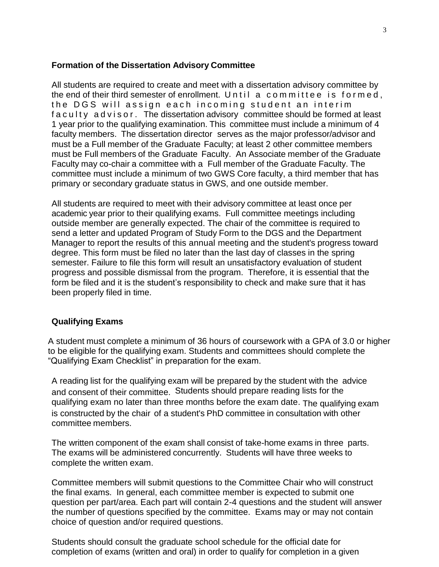### **Formation of the Dissertation Advisory Committee**

All students are required to create and meet with a dissertation advisory committee by the end of their third semester of enrollment. Un til a committee is formed, the DGS will assign each incoming student an interim f a culty advisor. The dissertation advisory committee should be formed at least 1 year prior to the qualifying examination. This committee must include a minimum of 4 faculty members. The dissertation director serves as the major professor/advisor and must be a Full member of the Graduate Faculty; at least 2 other committee members must be Full members of the Graduate Faculty. An Associate member of the Graduate Faculty may co-chair a committee with a Full member of the Graduate Faculty. The committee must include a minimum of two GWS Core faculty, a third member that has primary or secondary graduate status in GWS, and one outside member.

All students are required to meet with their advisory committee at least once per academic year prior to their qualifying exams. Full committee meetings including outside member are generally expected. The chair of the committee is required to send a letter and updated Program of Study Form to the DGS and the Department Manager to report the results of this annual meeting and the student's progress toward degree. This form must be filed no later than the last day of classes in the spring semester. Failure to file this form will result an unsatisfactory evaluation of student progress and possible dismissal from the program. Therefore, it is essential that the form be filed and it is the student's responsibility to check and make sure that it has been properly filed in time.

### **Qualifying Exams**

A student must complete a minimum of 36 hours of coursework with a GPA of 3.0 or higher to be eligible for the qualifying exam. Students and committees should complete the "Qualifying Exam Checklist" in preparation for the exam.

A reading list for the qualifying exam will be prepared by the student with the advice and consent of their committee. Students should prepare reading lists for the qualifying exam no later than three months before the exam date. The qualifying exam is constructed by the chair of a student's PhD committee in consultation with other committee members.

The written component of the exam shall consist of take-home exams in three parts. The exams will be administered concurrently. Students will have three weeks to complete the written exam.

Committee members will submit questions to the Committee Chair who will construct the final exams. In general, each committee member is expected to submit one question per part/area. Each part will contain 2-4 questions and the student will answer the number of questions specified by the committee. Exams may or may not contain choice of question and/or required questions.

Students should consult the graduate school schedule for the official date for completion of exams (written and oral) in order to qualify for completion in a given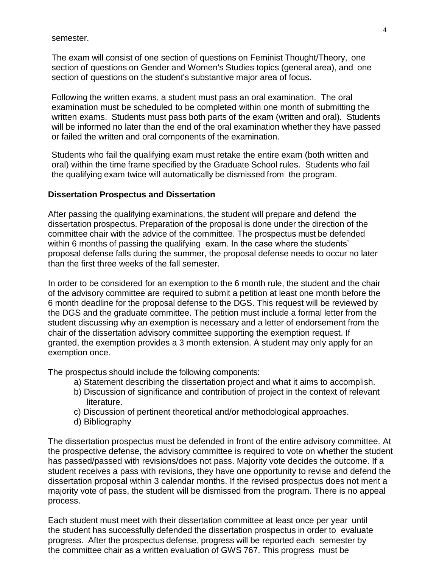semester.

The exam will consist of one section of questions on Feminist Thought/Theory, one section of questions on Gender and Women's Studies topics (general area), and one section of questions on the student's substantive major area of focus.

Following the written exams, a student must pass an oral examination. The oral examination must be scheduled to be completed within one month of submitting the written exams. Students must pass both parts of the exam (written and oral). Students will be informed no later than the end of the oral examination whether they have passed or failed the written and oral components of the examination.

Students who fail the qualifying exam must retake the entire exam (both written and oral) within the time frame specified by the Graduate School rules. Students who fail the qualifying exam twice will automatically be dismissed from the program.

### **Dissertation Prospectus and Dissertation**

After passing the qualifying examinations, the student will prepare and defend the dissertation prospectus. Preparation of the proposal is done under the direction of the committee chair with the advice of the committee. The prospectus must be defended within 6 months of passing the qualifying exam. In the case where the students' proposal defense falls during the summer, the proposal defense needs to occur no later than the first three weeks of the fall semester.

In order to be considered for an exemption to the 6 month rule, the student and the chair of the advisory committee are required to submit a petition at least one month before the 6 month deadline for the proposal defense to the DGS. This request will be reviewed by the DGS and the graduate committee. The petition must include a formal letter from the student discussing why an exemption is necessary and a letter of endorsement from the chair of the dissertation advisory committee supporting the exemption request. If granted, the exemption provides a 3 month extension. A student may only apply for an exemption once.

The prospectus should include the following components:

- a) Statement describing the dissertation project and what it aims to accomplish.
- b) Discussion of significance and contribution of project in the context of relevant literature.
- c) Discussion of pertinent theoretical and/or methodological approaches.
- d) Bibliography

The dissertation prospectus must be defended in front of the entire advisory committee. At the prospective defense, the advisory committee is required to vote on whether the student has passed/passed with revisions/does not pass. Majority vote decides the outcome. If a student receives a pass with revisions, they have one opportunity to revise and defend the dissertation proposal within 3 calendar months. If the revised prospectus does not merit a majority vote of pass, the student will be dismissed from the program. There is no appeal process.

Each student must meet with their dissertation committee at least once per year until the student has successfully defended the dissertation prospectus in order to evaluate progress. After the prospectus defense, progress will be reported each semester by the committee chair as a written evaluation of GWS 767. This progress must be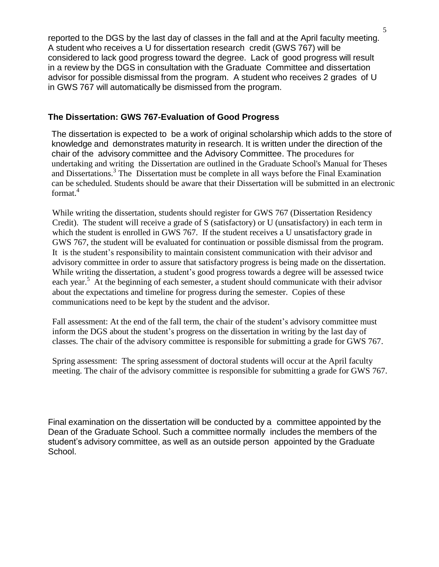reported to the DGS by the last day of classes in the fall and at the April faculty meeting. A student who receives a U for dissertation research credit (GWS 767) will be considered to lack good progress toward the degree. Lack of good progress will result in a review by the DGS in consultation with the Graduate Committee and dissertation advisor for possible dismissal from the program. A student who receives 2 grades of U in GWS 767 will automatically be dismissed from the program.

### **The Dissertation: GWS 767-Evaluation of Good Progress**

The dissertation is expected to be a work of original scholarship which adds to the store of knowledge and demonstrates maturity in research. It is written under the direction of the chair of the advisory committee and the Advisory Committee. The procedures for undertaking and writing the Dissertation are outlined in the Graduate School's Manual for Theses and Dissertations.<sup>3</sup> The Dissertation must be complete in all ways before the Final Examination can be scheduled. Students should be aware that their Dissertation will be submitted in an electronic format.<sup>4</sup>

While writing the dissertation, students should register for GWS 767 (Dissertation Residency Credit). The student will receive a grade of S (satisfactory) or U (unsatisfactory) in each term in which the student is enrolled in GWS 767. If the student receives a U unsatisfactory grade in GWS 767, the student will be evaluated for continuation or possible dismissal from the program. It is the student's responsibility to maintain consistent communication with their advisor and advisory committee in order to assure that satisfactory progress is being made on the dissertation. While writing the dissertation, a student's good progress towards a degree will be assessed twice each year.<sup>5</sup> At the beginning of each semester, a student should communicate with their advisor about the expectations and timeline for progress during the semester. Copies of these communications need to be kept by the student and the advisor.

Fall assessment: At the end of the fall term, the chair of the student's advisory committee must inform the DGS about the student's progress on the dissertation in writing by the last day of classes. The chair of the advisory committee is responsible for submitting a grade for GWS 767.

Spring assessment: The spring assessment of doctoral students will occur at the April faculty meeting. The chair of the advisory committee is responsible for submitting a grade for GWS 767.

Final examination on the dissertation will be conducted by a committee appointed by the Dean of the Graduate School. Such a committee normally includes the members of the student's advisory committee, as well as an outside person appointed by the Graduate School.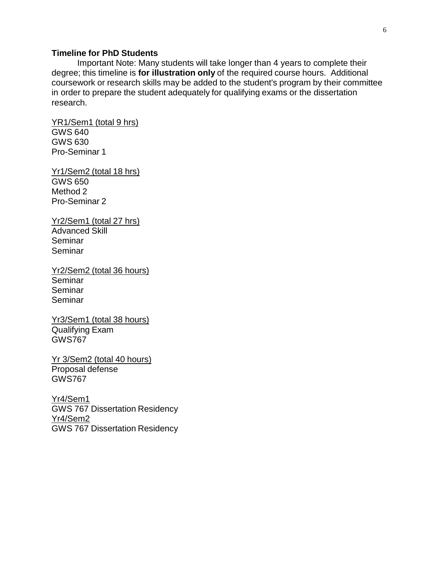### **Timeline for PhD Students**

Important Note: Many students will take longer than 4 years to complete their degree; this timeline is **for illustration only** of the required course hours. Additional coursework or research skills may be added to the student's program by their committee in order to prepare the student adequately for qualifying exams or the dissertation research.

YR1/Sem1 (total 9 hrs) GWS 640 GWS 630 Pro-Seminar 1

Yr1/Sem2 (total 18 hrs) GWS 650 Method 2 Pro-Seminar 2

Yr2/Sem1 (total 27 hrs) Advanced Skill Seminar Seminar

Yr2/Sem2 (total 36 hours) Seminar Seminar Seminar

Yr3/Sem1 (total 38 hours) Qualifying Exam GWS767

Yr 3/Sem2 (total 40 hours) Proposal defense GWS767

Yr4/Sem1 GWS 767 Dissertation Residency Yr4/Sem2 GWS 767 Dissertation Residency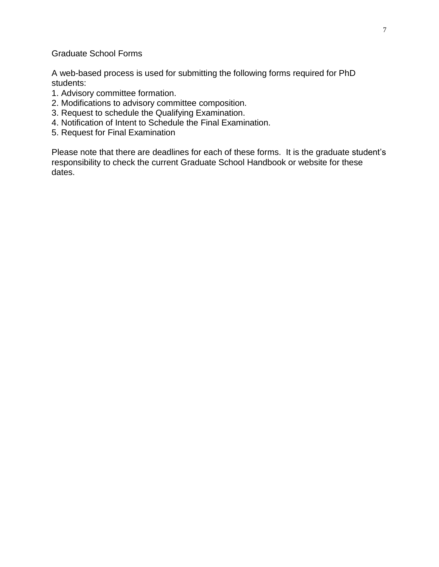Graduate School Forms

A web-based process is used for submitting the following forms required for PhD students:

- 1. Advisory committee formation.
- 2. Modifications to advisory committee composition.
- 3. Request to schedule the Qualifying Examination.
- 4. Notification of Intent to Schedule the Final Examination.
- 5. Request for Final Examination

Please note that there are deadlines for each of these forms. It is the graduate student's responsibility to check the current Graduate School Handbook or website for these dates.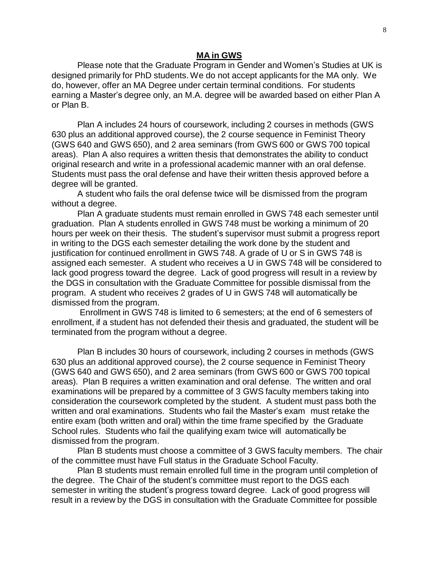#### **MA in GWS**

Please note that the Graduate Program in Gender and Women's Studies at UK is designed primarily for PhD students. We do not accept applicants for the MA only. We do, however, offer an MA Degree under certain terminal conditions. For students earning a Master's degree only, an M.A. degree will be awarded based on either Plan A or Plan B.

Plan A includes 24 hours of coursework, including 2 courses in methods (GWS 630 plus an additional approved course), the 2 course sequence in Feminist Theory (GWS 640 and GWS 650), and 2 area seminars (from GWS 600 or GWS 700 topical areas). Plan A also requires a written thesis that demonstrates the ability to conduct original research and write in a professional academic manner with an oral defense. Students must pass the oral defense and have their written thesis approved before a degree will be granted.

A student who fails the oral defense twice will be dismissed from the program without a degree.

Plan A graduate students must remain enrolled in GWS 748 each semester until graduation. Plan A students enrolled in GWS 748 must be working a minimum of 20 hours per week on their thesis. The student's supervisor must submit a progress report in writing to the DGS each semester detailing the work done by the student and justification for continued enrollment in GWS 748. A grade of U or S in GWS 748 is assigned each semester. A student who receives a U in GWS 748 will be considered to lack good progress toward the degree. Lack of good progress will result in a review by the DGS in consultation with the Graduate Committee for possible dismissal from the program. A student who receives 2 grades of U in GWS 748 will automatically be dismissed from the program.

Enrollment in GWS 748 is limited to 6 semesters; at the end of 6 semesters of enrollment, if a student has not defended their thesis and graduated, the student will be terminated from the program without a degree.

Plan B includes 30 hours of coursework, including 2 courses in methods (GWS 630 plus an additional approved course), the 2 course sequence in Feminist Theory (GWS 640 and GWS 650), and 2 area seminars (from GWS 600 or GWS 700 topical areas). Plan B requires a written examination and oral defense. The written and oral examinations will be prepared by a committee of 3 GWS faculty members taking into consideration the coursework completed by the student. A student must pass both the written and oral examinations. Students who fail the Master's exam must retake the entire exam (both written and oral) within the time frame specified by the Graduate School rules. Students who fail the qualifying exam twice will automatically be dismissed from the program.

Plan B students must choose a committee of 3 GWS faculty members. The chair of the committee must have Full status in the Graduate School Faculty.

Plan B students must remain enrolled full time in the program until completion of the degree. The Chair of the student's committee must report to the DGS each semester in writing the student's progress toward degree. Lack of good progress will result in a review by the DGS in consultation with the Graduate Committee for possible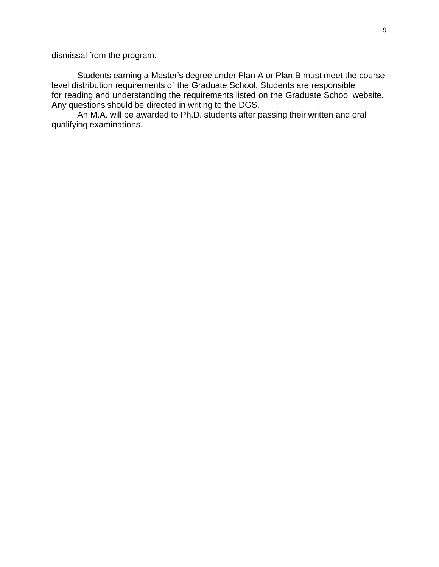dismissal from the program.

Students earning a Master's degree under Plan A or Plan B must meet the course level distribution requirements of the Graduate School. Students are responsible for reading and understanding the requirements listed on the Graduate School website. Any questions should be directed in writing to the DGS.

An M.A. will be awarded to Ph.D. students after passing their written and oral qualifying examinations.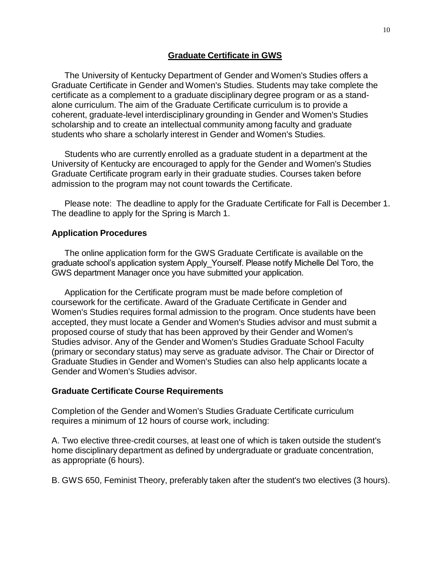### **Graduate Certificate in GWS**

The University of Kentucky Department of Gender and Women's Studies offers a Graduate Certificate in Gender and Women's Studies. Students may take complete the certificate as a complement to a graduate disciplinary degree program or as a standalone curriculum. The aim of the Graduate Certificate curriculum is to provide a coherent, graduate-level interdisciplinary grounding in Gender and Women's Studies scholarship and to create an intellectual community among faculty and graduate students who share a scholarly interest in Gender and Women's Studies.

Students who are currently enrolled as a graduate student in a department at the University of Kentucky are encouraged to apply for the Gender and Women's Studies Graduate Certificate program early in their graduate studies. Courses taken before admission to the program may not count towards the Certificate.

Please note: The deadline to apply for the Graduate Certificate for Fall is December 1. The deadline to apply for the Spring is March 1.

### **Application Procedures**

The online application form for the GWS Graduate Certificate is available on the graduate school's application system Apply\_Yourself. Please notify Michelle Del Toro, the GWS department Manager once you have submitted your application.

Application for the Certificate program must be made before completion of coursework for the certificate. Award of the Graduate Certificate in Gender and Women's Studies requires formal admission to the program. Once students have been accepted, they must locate a Gender and Women's Studies advisor and must submit a proposed course of study that has been approved by their Gender and Women's Studies advisor. Any of the Gender and Women's Studies Graduate School Faculty (primary or secondary status) may serve as graduate advisor. The Chair or Director of Graduate Studies in Gender and Women's Studies can also help applicants locate a Gender and Women's Studies advisor.

#### **Graduate Certificate Course Requirements**

Completion of the Gender and Women's Studies Graduate Certificate curriculum requires a minimum of 12 hours of course work, including:

A. Two elective three-credit courses, at least one of which is taken outside the student's home disciplinary department as defined by undergraduate or graduate concentration, as appropriate (6 hours).

B. GWS 650, Feminist Theory, preferably taken after the student's two electives (3 hours).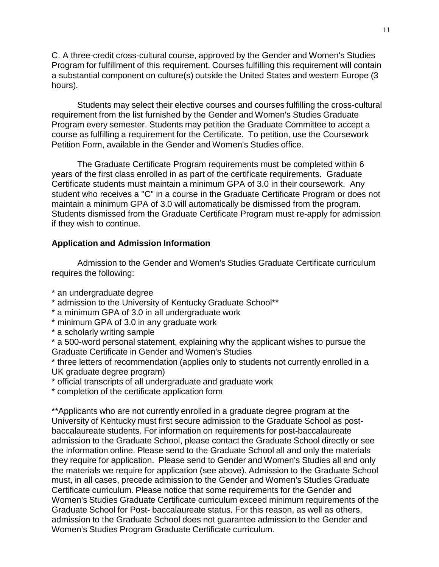C. A three-credit cross-cultural course, approved by the Gender and Women's Studies Program for fulfillment of this requirement. Courses fulfilling this requirement will contain a substantial component on culture(s) outside the United States and western Europe (3 hours).

Students may select their elective courses and courses fulfilling the cross-cultural requirement from the list furnished by the Gender and Women's Studies Graduate Program every semester. Students may petition the Graduate Committee to accept a course as fulfilling a requirement for the Certificate. To petition, use the Coursework Petition Form, available in the Gender and Women's Studies office.

The Graduate Certificate Program requirements must be completed within 6 years of the first class enrolled in as part of the certificate requirements. Graduate Certificate students must maintain a minimum GPA of 3.0 in their coursework. Any student who receives a "C" in a course in the Graduate Certificate Program or does not maintain a minimum GPA of 3.0 will automatically be dismissed from the program. Students dismissed from the Graduate Certificate Program must re-apply for admission if they wish to continue.

### **Application and Admission Information**

Admission to the Gender and Women's Studies Graduate Certificate curriculum requires the following:

- \* an undergraduate degree
- \* admission to the University of Kentucky Graduate School\*\*
- \* a minimum GPA of 3.0 in all undergraduate work
- \* minimum GPA of 3.0 in any graduate work
- \* a scholarly writing sample

\* a 500-word personal statement, explaining why the applicant wishes to pursue the Graduate Certificate in Gender and Women's Studies

\* three letters of recommendation (applies only to students not currently enrolled in a UK graduate degree program)

\* official transcripts of all undergraduate and graduate work

\* completion of the certificate application form

\*\*Applicants who are not currently enrolled in a graduate degree program at the University of Kentucky must first secure admission to the Graduate School as postbaccalaureate students. For information on requirements for post-baccalaureate admission to the Graduate School, please contact the Graduate School directly or see the information online. Please send to the Graduate School all and only the materials they require for application. Please send to Gender and Women's Studies all and only the materials we require for application (see above). Admission to the Graduate School must, in all cases, precede admission to the Gender and Women's Studies Graduate Certificate curriculum. Please notice that some requirements for the Gender and Women's Studies Graduate Certificate curriculum exceed minimum requirements of the Graduate School for Post- baccalaureate status. For this reason, as well as others, admission to the Graduate School does not guarantee admission to the Gender and Women's Studies Program Graduate Certificate curriculum.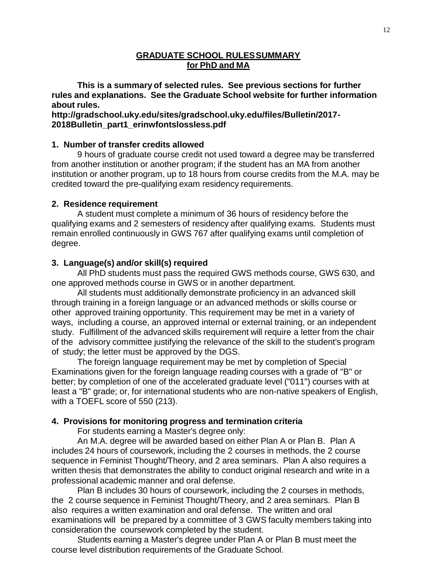### **GRADUATE SCHOOL RULESSUMMARY for PhD and MA**

**This is a summary of selected rules. See previous sections for further rules and explanations. See the Graduate School website for further information about rules.**

**http://gradschool.uky.edu/sites/gradschool.uky.edu/files/Bulletin/2017- 2018Bulletin\_part1\_erinwfontslossless.pdf**

### **1. Number of transfer credits allowed**

9 hours of graduate course credit not used toward a degree may be transferred from another institution or another program; if the student has an MA from another institution or another program, up to 18 hours from course credits from the M.A. may be credited toward the pre-qualifying exam residency requirements.

### **2. Residence requirement**

A student must complete a minimum of 36 hours of residency before the qualifying exams and 2 semesters of residency after qualifying exams. Students must remain enrolled continuously in GWS 767 after qualifying exams until completion of degree.

### **3. Language(s) and/or skill(s) required**

All PhD students must pass the required GWS methods course, GWS 630, and one approved methods course in GWS or in another department.

All students must additionally demonstrate proficiency in an advanced skill through training in a foreign language or an advanced methods or skills course or other approved training opportunity. This requirement may be met in a variety of ways, including a course, an approved internal or external training, or an independent study. Fulfillment of the advanced skills requirement will require a letter from the chair of the advisory committee justifying the relevance of the skill to the student's program of study; the letter must be approved by the DGS.

The foreign language requirement may be met by completion of Special Examinations given for the foreign language reading courses with a grade of "B" or better; by completion of one of the accelerated graduate level ("011") courses with at least a "B" grade; or, for international students who are non-native speakers of English, with a TOEFL score of 550 (213).

### **4. Provisions for monitoring progress and termination criteria**

For students earning a Master's degree only:

An M.A. degree will be awarded based on either Plan A or Plan B. Plan A includes 24 hours of coursework, including the 2 courses in methods, the 2 course sequence in Feminist Thought/Theory, and 2 area seminars. Plan A also requires a written thesis that demonstrates the ability to conduct original research and write in a professional academic manner and oral defense.

Plan B includes 30 hours of coursework, including the 2 courses in methods, the 2 course sequence in Feminist Thought/Theory, and 2 area seminars. Plan B also requires a written examination and oral defense. The written and oral examinations will be prepared by a committee of 3 GWS faculty members taking into consideration the coursework completed by the student.

Students earning a Master's degree under Plan A or Plan B must meet the course level distribution requirements of the Graduate School.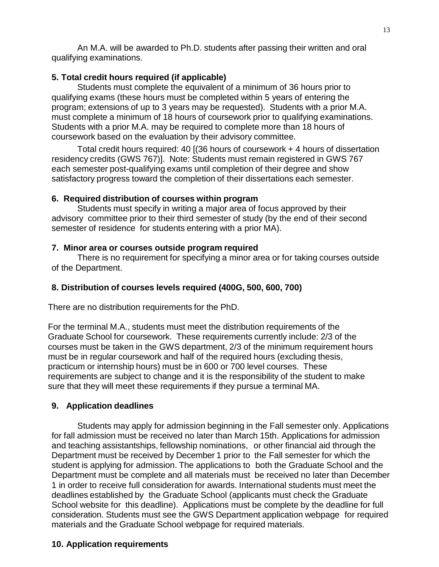An M.A. will be awarded to Ph.D. students after passing their written and oral qualifying examinations.

### **5. Total credit hours required (if applicable)**

Students must complete the equivalent of a minimum of 36 hours prior to qualifying exams (these hours must be completed within 5 years of entering the program; extensions of up to 3 years may be requested). Students with a prior M.A. must complete a minimum of 18 hours of coursework prior to qualifying examinations. Students with a prior M.A. may be required to complete more than 18 hours of coursework based on the evaluation by their advisory committee.

Total credit hours required: 40 [(36 hours of coursework + 4 hours of dissertation residency credits (GWS 767)]. Note: Students must remain registered in GWS 767 each semester post-qualifying exams until completion of their degree and show satisfactory progress toward the completion of their dissertations each semester.

# **6. Required distribution of courses within program**

Students must specify in writing a major area of focus approved by their advisory committee prior to their third semester of study (by the end of their second semester of residence for students entering with a prior MA).

# **7. Minor area or courses outside program required**

There is no requirement for specifying a minor area or for taking courses outside of the Department.

# **8. Distribution of courses levels required (400G, 500, 600, 700)**

There are no distribution requirements for the PhD.

For the terminal M.A., students must meet the distribution requirements of the Graduate School for coursework. These requirements currently include: 2/3 of the courses must be taken in the GWS department, 2/3 of the minimum requirement hours must be in regular coursework and half of the required hours (excluding thesis, practicum or internship hours) must be in 600 or 700 level courses. These requirements are subject to change and it is the responsibility of the student to make sure that they will meet these requirements if they pursue a terminal MA.

# **9. Application deadlines**

Students may apply for admission beginning in the Fall semester only. Applications for fall admission must be received no later than March 15th. Applications for admission and teaching assistantships, fellowship nominations, or other financial aid through the Department must be received by December 1 prior to the Fall semester for which the student is applying for admission. The applications to both the Graduate School and the Department must be complete and all materials must be received no later than December 1 in order to receive full consideration for awards. International students must meet the deadlines established by the Graduate School (applicants must check the Graduate School website for this deadline). Applications must be complete by the deadline for full consideration. Students must see the GWS Department application webpage for required materials and the Graduate School webpage for required materials.

# **10. Application requirements**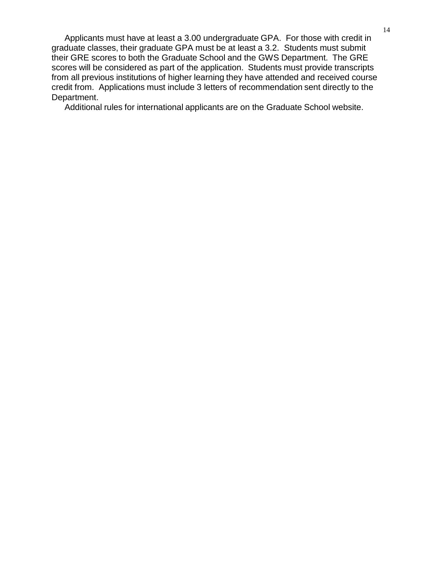Applicants must have at least a 3.00 undergraduate GPA. For those with credit in graduate classes, their graduate GPA must be at least a 3.2. Students must submit their GRE scores to both the Graduate School and the GWS Department. The GRE scores will be considered as part of the application. Students must provide transcripts from all previous institutions of higher learning they have attended and received course credit from. Applications must include 3 letters of recommendation sent directly to the Department.

Additional rules for international applicants are on the Graduate School website.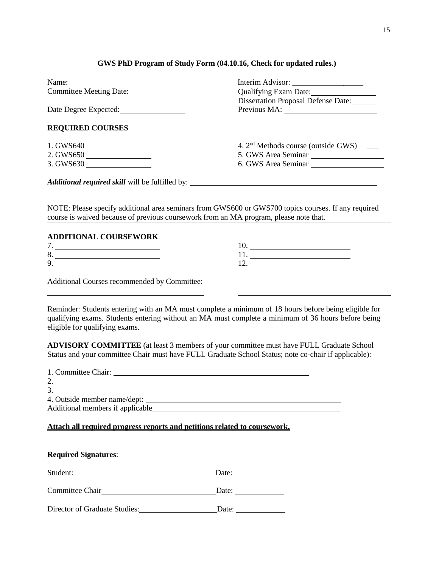#### **GWS PhD Program of Study Form (04.10.16, Check for updated rules.)**

| Name:                                    |                                             |  |
|------------------------------------------|---------------------------------------------|--|
| Committee Meeting Date: ________________ | Qualifying Exam Date: 1997                  |  |
|                                          | Dissertation Proposal Defense Date:         |  |
| Date Degree Expected:                    |                                             |  |
|                                          |                                             |  |
| <b>REQUIRED COURSES</b>                  |                                             |  |
|                                          | 4. $2nd$ Methods course (outside GWS) _____ |  |
| 2. GWS650                                | 5. GWS Area Seminar                         |  |
|                                          | 6. GWS Area Seminar                         |  |
|                                          |                                             |  |
|                                          |                                             |  |
|                                          |                                             |  |

NOTE: Please specify additional area seminars from GWS600 or GWS700 topics courses. If any required course is waived because of previous coursework from an MA program, please note that.

### **ADDITIONAL COURSEWORK**

| Õ |  |
|---|--|
|   |  |
|   |  |

Additional Courses recommended by Committee:

Reminder: Students entering with an MA must complete a minimum of 18 hours before being eligible for qualifying exams. Students entering without an MA must complete a minimum of 36 hours before being eligible for qualifying exams.

**ADVISORY COMMITTEE** (at least 3 members of your committee must have FULL Graduate School Status and your committee Chair must have FULL Graduate School Status; note co-chair if applicable):

| 1. Committee Chair:              |  |
|----------------------------------|--|
|                                  |  |
| 3                                |  |
| 4. Outside member name/dept:     |  |
| Additional members if applicable |  |
|                                  |  |

**Attach all required progress reports and petitions related to coursework.**

| <b>Required Signatures:</b>                                                                                                                                                                                                                      |       |  |  |
|--------------------------------------------------------------------------------------------------------------------------------------------------------------------------------------------------------------------------------------------------|-------|--|--|
| Student:<br><u>and the contract of the contract of the contract of the contract of the contract of the contract of the contract of the contract of the contract of the contract of the contract of the contract of the contract of the contr</u> | Date: |  |  |
| Committee Chair                                                                                                                                                                                                                                  | Date: |  |  |
| Director of Graduate Studies:                                                                                                                                                                                                                    | Date: |  |  |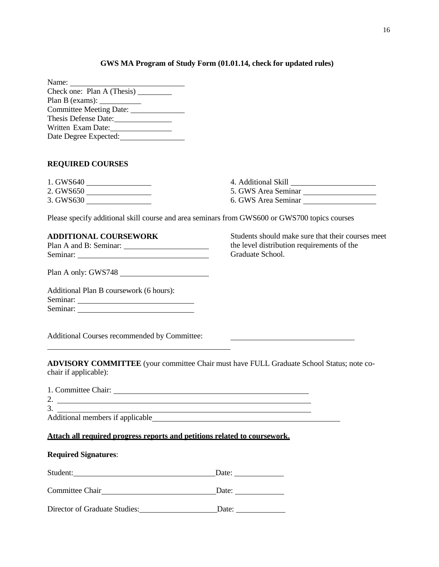#### **GWS MA Program of Study Form (01.01.14, check for updated rules)**

| Name:                                  |  |
|----------------------------------------|--|
| Check one: Plan A (Thesis)             |  |
| Plan B (exams): <u>_______________</u> |  |
| Committee Meeting Date:                |  |
| Thesis Defense Date:                   |  |
| Written Exam Date:                     |  |
| Date Degree Expected:                  |  |

#### **REQUIRED COURSES**

| 1. GWS640 | 4. Additional Skill |
|-----------|---------------------|
| 2. GWS650 | 5. GWS Area Seminar |
| 3. GWS630 | 6. GWS Area Seminar |

Please specify additional skill course and area seminars from GWS600 or GWS700 topics courses

#### **ADDITIONAL COURSEWORK**

| Plan A and B: Seminar: |  |
|------------------------|--|
| Seminar:               |  |

Students should make sure that their courses meet the level distribution requirements of the Graduate School.

<u> 1980 - John Stone, amerikansk politiker (</u>

Plan A only: GWS748

Additional Plan B coursework (6 hours): Seminar: Seminar:

Additional Courses recommended by Committee:

**ADVISORY COMMITTEE** (your committee Chair must have FULL Graduate School Status; note cochair if applicable):

| 1. Committee Chair:              |                                                                           |
|----------------------------------|---------------------------------------------------------------------------|
| 2.                               |                                                                           |
| 3.                               |                                                                           |
| Additional members if applicable |                                                                           |
|                                  |                                                                           |
|                                  | Attach all required progress reports and petitions related to coursework. |

### **Required Signatures**:

| Student:                      | Date: |
|-------------------------------|-------|
| Committee Chair               | Date: |
| Director of Graduate Studies: | Date: |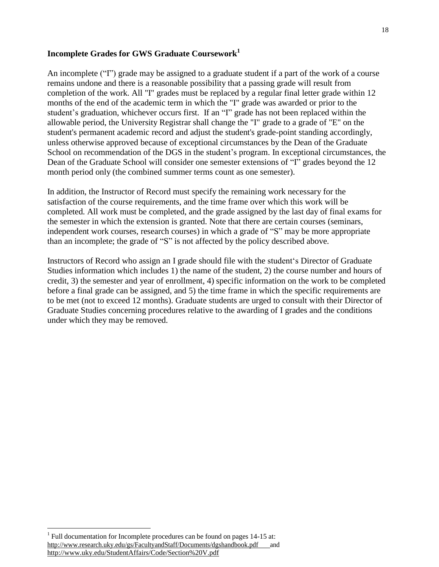### **Incomplete Grades for GWS Graduate Coursework<sup>1</sup>**

An incomplete ("I") grade may be assigned to a graduate student if a part of the work of a course remains undone and there is a reasonable possibility that a passing grade will result from completion of the work. All "I" grades must be replaced by a regular final letter grade within 12 months of the end of the academic term in which the "I" grade was awarded or prior to the student's graduation, whichever occurs first. If an "I" grade has not been replaced within the allowable period, the University Registrar shall change the "I" grade to a grade of "E" on the student's permanent academic record and adjust the student's grade-point standing accordingly, unless otherwise approved because of exceptional circumstances by the Dean of the Graduate School on recommendation of the DGS in the student's program. In exceptional circumstances, the Dean of the Graduate School will consider one semester extensions of "I" grades beyond the 12 month period only (the combined summer terms count as one semester).

In addition, the Instructor of Record must specify the remaining work necessary for the satisfaction of the course requirements, and the time frame over which this work will be completed. All work must be completed, and the grade assigned by the last day of final exams for the semester in which the extension is granted. Note that there are certain courses (seminars, independent work courses, research courses) in which a grade of "S" may be more appropriate than an incomplete; the grade of "S" is not affected by the policy described above.

Instructors of Record who assign an I grade should file with the student's Director of Graduate Studies information which includes 1) the name of the student, 2) the course number and hours of credit, 3) the semester and year of enrollment, 4) specific information on the work to be completed before a final grade can be assigned, and 5) the time frame in which the specific requirements are to be met (not to exceed 12 months). Graduate students are urged to consult with their Director of Graduate Studies concerning procedures relative to the awarding of I grades and the conditions under which they may be removed.

<sup>&</sup>lt;sup>1</sup> Full documentation for Incomplete procedures can be found on pages 14-15 at: [http://www.research.uky.edu/gs/FacultyandStaff/Documents/dgshandbook.pdf a](http://www.research.uky.edu/gs/FacultyandStaff/Documents/dgshandbook.pdf)nd <http://www.uky.edu/StudentAffairs/Code/Section%20V.pdf>